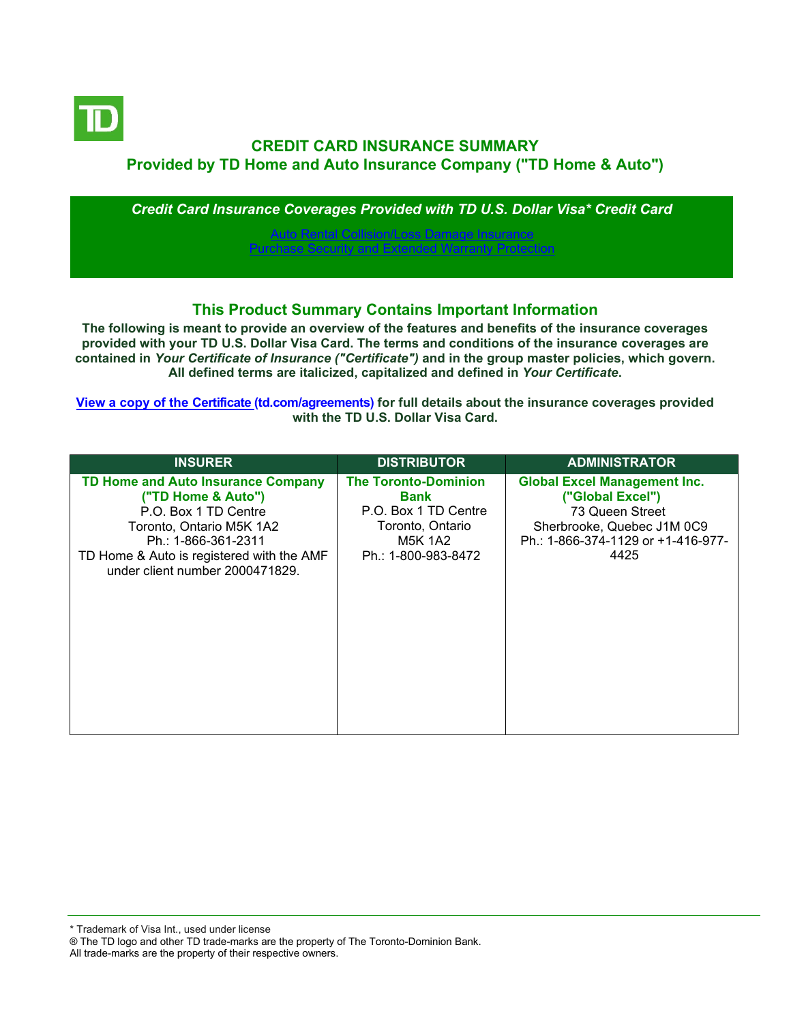

# **CREDIT CARD INSURANCE SUMMARY Provided by TD Home and Auto Insurance Company ("TD Home & Auto")**

*Credit Card Insurance Coverages Provided with TD U.S. Dollar Visa\* Credit Card*

[Auto Rental Collision/Loss Damage Insurance](#page-3-0) [Purchase Security and Extended Warranty Protection](#page-4-0)

## **This Product Summary Contains Important Information**

**The following is meant to provide an overview of the features and benefits of the insurance coverages provided with your TD U.S. Dollar Visa Card. The terms and conditions of the insurance coverages are contained in** *Your Certificate of Insurance ("Certificate")* **and in the group master policies, which govern. All defined terms are italicized, capitalized and defined in** *Your Certificate***.**

**[View a copy of the Certificate](https://www.td.com/ca/en/personal-banking/how-to/manage-my-credit-card/getting-started/?tdtab=4) (td.com/agreements) for full details about the insurance coverages provided with the TD U.S. Dollar Visa Card.**

| <b>INSURER</b>                                                                                                                                                                                                             | <b>DISTRIBUTOR</b>                                                                                                | <b>ADMINISTRATOR</b>                                                                                                                                   |
|----------------------------------------------------------------------------------------------------------------------------------------------------------------------------------------------------------------------------|-------------------------------------------------------------------------------------------------------------------|--------------------------------------------------------------------------------------------------------------------------------------------------------|
| <b>TD Home and Auto Insurance Company</b><br>("TD Home & Auto")<br>P.O. Box 1 TD Centre<br>Toronto, Ontario M5K 1A2<br>Ph.: 1-866-361-2311<br>TD Home & Auto is registered with the AMF<br>under client number 2000471829. | <b>The Toronto-Dominion</b><br>Bank<br>P.O. Box 1 TD Centre<br>Toronto, Ontario<br>M5K 1A2<br>Ph.: 1-800-983-8472 | <b>Global Excel Management Inc.</b><br>("Global Excel")<br>73 Queen Street<br>Sherbrooke, Quebec J1M 0C9<br>Ph.: 1-866-374-1129 or +1-416-977-<br>4425 |

All trade-marks are the property of their respective owners.

<sup>\*</sup> Trademark of Visa Int., used under license

<sup>®</sup> The TD logo and other TD trade-marks are the property of The Toronto-Dominion Bank.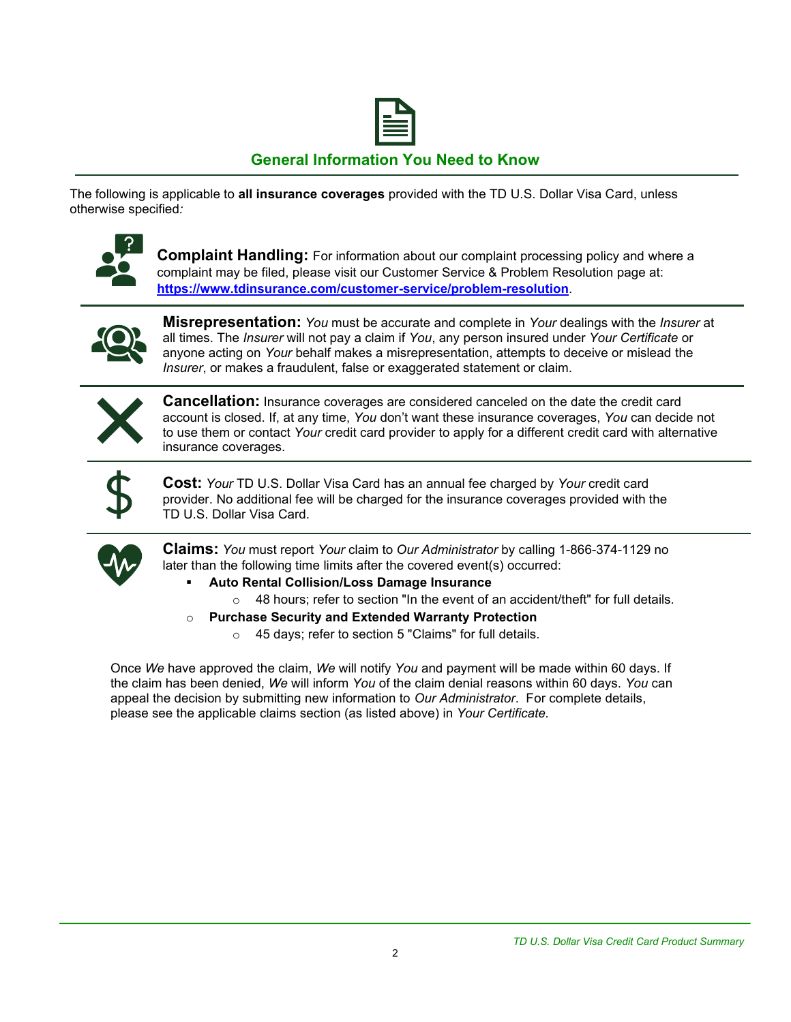

# **General Information You Need to Know**

The following is applicable to **all insurance coverages** provided with the TD U.S. Dollar Visa Card, unless otherwise specified*:*



**Complaint Handling:** For information about our complaint processing policy and where a complaint may be filed, please visit our Customer Service & Problem Resolution page at: **<https://www.tdinsurance.com/customer-service/problem-resolution>**.



**Misrepresentation:** *You* must be accurate and complete in *Your* dealings with the *Insurer* at all times. The *Insurer* will not pay a claim if *You*, any person insured under *Your Certificate* or anyone acting on *Your* behalf makes a misrepresentation, attempts to deceive or mislead the *Insurer*, or makes a fraudulent, false or exaggerated statement or claim.



**Cancellation:** Insurance coverages are considered canceled on the date the credit card account is closed. If, at any time, *You* don't want these insurance coverages, *You* can decide not to use them or contact *Your* credit card provider to apply for a different credit card with alternative insurance coverages.



**Cost:** *Your* TD U.S. Dollar Visa Card has an annual fee charged by *Your* credit card provider. No additional fee will be charged for the insurance coverages provided with the TD U.S. Dollar Visa Card.



**Claims:** *You* must report *Your* claim to *Our Administrator* by calling 1-866-374-1129 no later than the following time limits after the covered event(s) occurred:

- **Auto Rental Collision/Loss Damage Insurance** 
	- $\circ$  48 hours; refer to section "In the event of an accident/theft" for full details.
- o **Purchase Security and Extended Warranty Protection**
	- o 45 days; refer to section 5 "Claims" for full details.

Once *We* have approved the claim, *We* will notify *You* and payment will be made within 60 days. If the claim has been denied, *We* will inform *You* of the claim denial reasons within 60 days. *You* can appeal the decision by submitting new information to *Our Administrator*. For complete details, please see the applicable claims section (as listed above) in *Your Certificate.*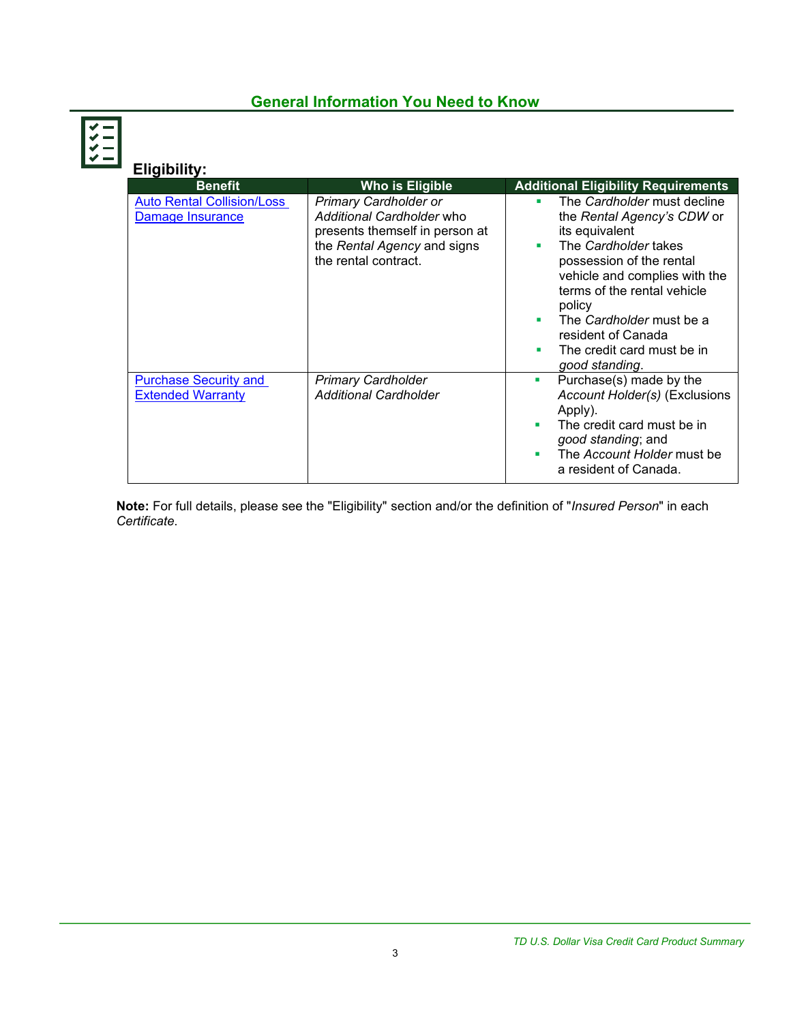# **General Information You Need to Know**



| Eligibility:                                             |                                                                                                                                                    |                                                                                                                                                                                                                                                                                                                                 |
|----------------------------------------------------------|----------------------------------------------------------------------------------------------------------------------------------------------------|---------------------------------------------------------------------------------------------------------------------------------------------------------------------------------------------------------------------------------------------------------------------------------------------------------------------------------|
| <b>Benefit</b>                                           | <b>Who is Eligible</b>                                                                                                                             | <b>Additional Eligibility Requirements</b>                                                                                                                                                                                                                                                                                      |
| <b>Auto Rental Collision/Loss</b><br>Damage Insurance    | <b>Primary Cardholder or</b><br>Additional Cardholder who<br>presents themself in person at<br>the Rental Agency and signs<br>the rental contract. | The Cardholder must decline<br>٠<br>the Rental Agency's CDW or<br>its equivalent<br>The Cardholder takes<br>٠<br>possession of the rental<br>vehicle and complies with the<br>terms of the rental vehicle<br>policy<br>The Cardholder must be a<br>٠<br>resident of Canada<br>The credit card must be in<br>٠<br>good standing. |
| <b>Purchase Security and</b><br><b>Extended Warranty</b> | <b>Primary Cardholder</b><br><b>Additional Cardholder</b>                                                                                          | Purchase(s) made by the<br>ш<br>Account Holder(s) (Exclusions<br>Apply).<br>The credit card must be in<br>٠<br>good standing; and<br>The Account Holder must be<br>٠<br>a resident of Canada.                                                                                                                                   |

**Note:** For full details, please see the "Eligibility" section and/or the definition of "*Insured Person*" in each *Certificate*.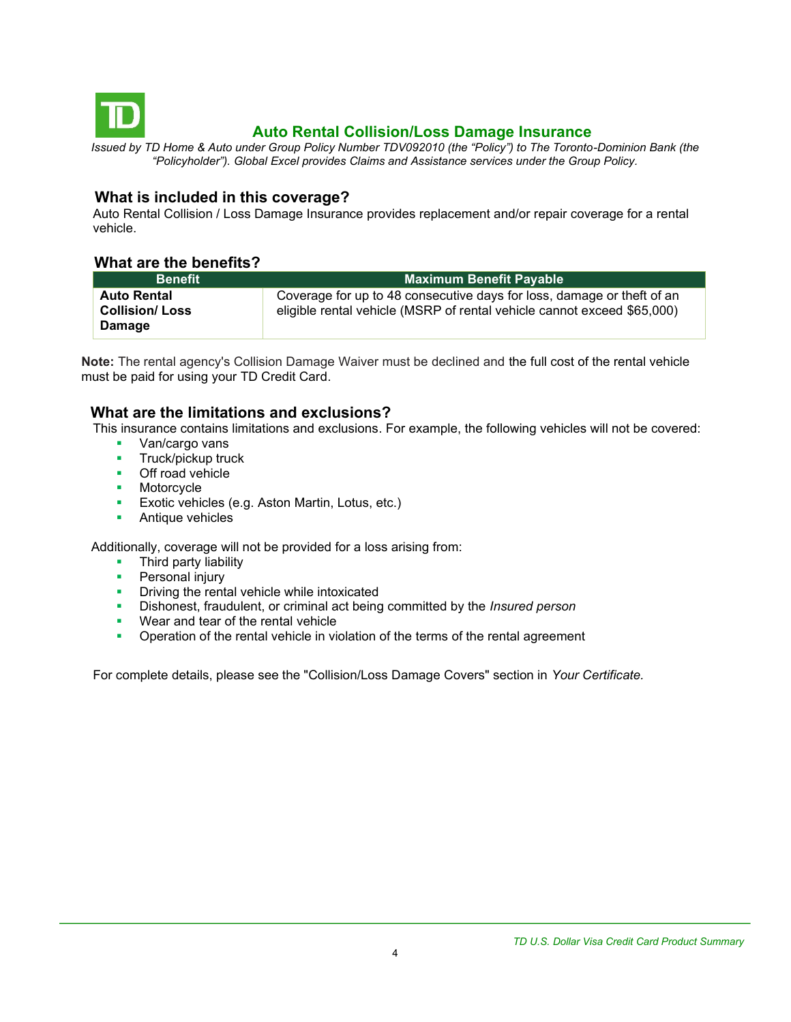<span id="page-3-0"></span>

# **Auto Rental Collision/Loss Damage Insurance**

*Issued by TD Home & Auto under Group Policy Number TDV092010 (the "Policy") to The Toronto-Dominion Bank (the "Policyholder"). Global Excel provides Claims and Assistance services under the Group Policy.*

#### **What is included in this coverage?**

Auto Rental Collision / Loss Damage Insurance provides replacement and/or repair coverage for a rental vehicle.

#### **What are the benefits?**

| <b>Benefit</b>                                        | Maximum Benefit Payable                                                                                                                           |
|-------------------------------------------------------|---------------------------------------------------------------------------------------------------------------------------------------------------|
| <b>Auto Rental</b><br><b>Collision/Loss</b><br>Damage | Coverage for up to 48 consecutive days for loss, damage or theft of an<br>eligible rental vehicle (MSRP of rental vehicle cannot exceed \$65,000) |

**Note:** The rental agency's Collision Damage Waiver must be declined and the full cost of the rental vehicle must be paid for using your TD Credit Card.

## **What are the limitations and exclusions?**

This insurance contains limitations and exclusions. For example, the following vehicles will not be covered:

- Van/cargo vans
- **■** Truck/pickup truck
- Off road vehicle
- Motorcycle
- **Exotic vehicles (e.g. Aston Martin, Lotus, etc.)**
- Antique vehicles

Additionally, coverage will not be provided for a loss arising from:

- Third party liability
- **•** Personal injury
- **•** Driving the rental vehicle while intoxicated
- Dishonest, fraudulent, or criminal act being committed by the *Insured person*
- Wear and tear of the rental vehicle
- **•** Operation of the rental vehicle in violation of the terms of the rental agreement

For complete details, please see the "Collision/Loss Damage Covers" section in *Your Certificate.*